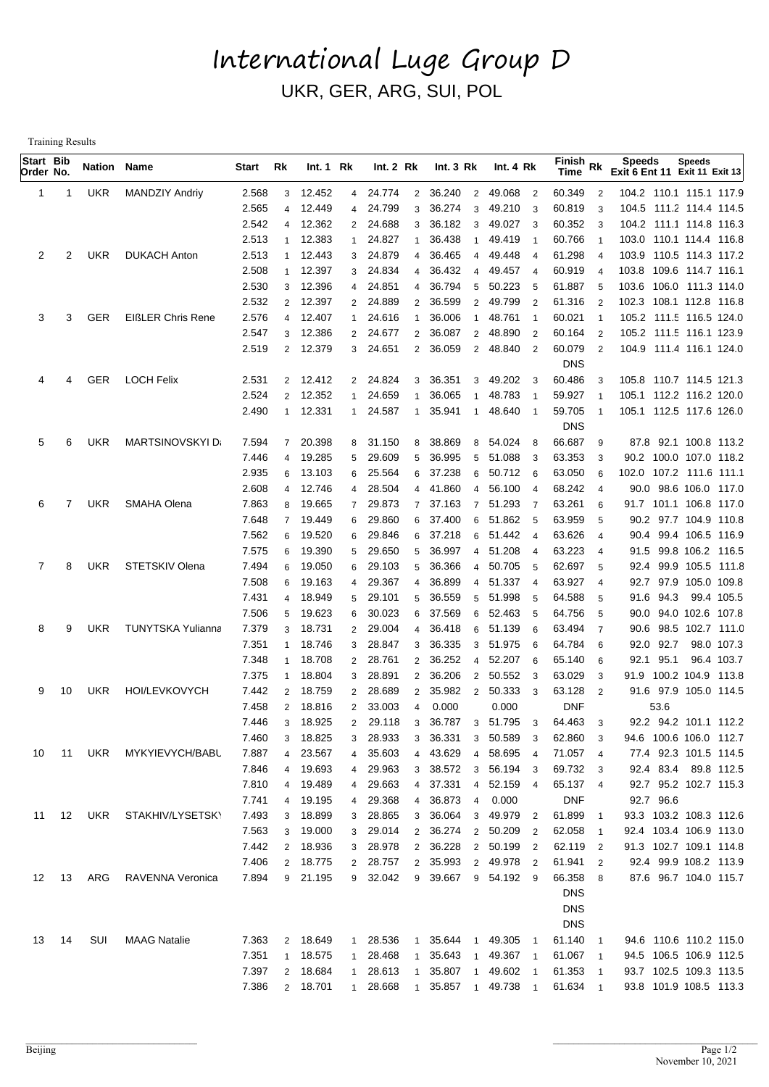## International Luge Group D UKR, GER, ARG, SUI, POL

Training Results

| Start Bib<br>Order No. |    | <b>Nation Name</b> |                          | Start          | Rk                      | Int.1 Rk           |                     | Int. 2 Rk            |                | Int.3 Rk                                 |                | Int. 4 Rk                |                         | $F$ inish Rk<br>Time |                     | <b>Speeds</b><br>Exit 6 Ent 11 Exit 11 Exit 13     | Speeds           |                           |
|------------------------|----|--------------------|--------------------------|----------------|-------------------------|--------------------|---------------------|----------------------|----------------|------------------------------------------|----------------|--------------------------|-------------------------|----------------------|---------------------|----------------------------------------------------|------------------|---------------------------|
| 1                      | -1 | <b>UKR</b>         | <b>MANDZIY Andriy</b>    | 2.568          | 3                       | 12.452             |                     | 4 24.774             | $\overline{2}$ | 36.240                                   |                | 2 49.068                 | $\overline{2}$          | 60.349               | $\overline{2}$      | 104.2 110.1 115.1 117.9                            |                  |                           |
|                        |    |                    |                          | 2.565          | $\overline{\mathbf{A}}$ | 12.449             | 4                   | 24.799               | 3              | 36.274<br>3                              |                | 49.210                   | -3                      | 60.819               | 3                   | 104.5 111.2 114.4 114.5                            |                  |                           |
|                        |    |                    |                          | 2.542          | 4                       | 12.362             |                     | 2 24.688             | 3              | 36.182<br>3                              |                | 49.027                   | - 3                     | 60.352               | 3                   | 104.2 111.1 114.8 116.3                            |                  |                           |
|                        |    |                    |                          | 2.513          | 1                       | 12.383             | 1                   | 24.827               | $\mathbf{1}$   | 36.438<br>-1                             |                | 49.419                   | - 1                     | 60.766               | $\mathbf 1$         | 103.0 110.1 114.4 116.8                            |                  |                           |
| 2                      | 2  | <b>UKR</b>         | <b>DUKACH Anton</b>      | 2.513          |                         | 12.443             |                     | 3 24.879             | 4              | 36.465<br>$\overline{4}$                 |                | 49.448                   | $\overline{4}$          | 61.298               | $\overline{4}$      | 103.9 110.5 114.3 117.2                            |                  |                           |
|                        |    |                    |                          | 2.508          | 1                       | 12.397             | 3                   | 24.834               | 4              | 36.432<br>4                              |                | 49.457                   | $\overline{4}$          | 60.919               | $\overline{4}$      | 103.8 109.6 114.7 116.1                            |                  |                           |
|                        |    |                    |                          | 2.530<br>2.532 | 3                       | 12.396<br>12.397   | 4                   | 24.851               | $\overline{4}$ | 36.794<br>5                              |                | 50.223                   | 5                       | 61.887               | 5                   | 103.6 106.0 111.3 114.0                            |                  |                           |
| 3                      | 3  | <b>GER</b>         | <b>EIßLER Chris Rene</b> | 2.576          | $\overline{2}$<br>4     | 12.407             | $\overline{2}$<br>1 | 24.889<br>24.616     | 2              | 36.599<br>$\overline{2}$<br>36.006<br>-1 |                | 49.799<br>48.761         | $\overline{2}$<br>- 1   | 61.316<br>60.021     | $\overline{2}$      | 102.3 108.1 112.8 116.8<br>105.2 111.5 116.5 124.0 |                  |                           |
|                        |    |                    |                          | 2.547          | 3                       | 12.386             |                     | 2 24.677             | 2              | 36.087<br>$\overline{2}$                 |                | 48.890                   | $\overline{2}$          | 60.164               | $\overline{2}$      | 105.2 111.5 116.1 123.9                            |                  |                           |
|                        |    |                    |                          | 2.519          |                         | 2 12.379           |                     | 3 24.651             | $\overline{2}$ | 36.059                                   | $2^{\circ}$    | 48.840                   | $\overline{\mathbf{2}}$ | 60.079               | $\overline{2}$      | 104.9 111.4 116.1 124.0                            |                  |                           |
|                        |    |                    |                          |                |                         |                    |                     |                      |                |                                          |                |                          |                         | <b>DNS</b>           |                     |                                                    |                  |                           |
| 4                      | 4  | <b>GER</b>         | <b>LOCH Felix</b>        | 2.531          | $\overline{2}$          | 12.412             |                     | 2 24.824             | 3              | 36.351                                   | 3              | 49.202 3                 |                         | 60.486               | 3                   | 105.8 110.7 114.5 121.3                            |                  |                           |
|                        |    |                    |                          | 2.524          | $\overline{2}$          | 12.352             |                     | 24.659               |                | 36.065                                   |                | 48.783                   |                         | 59.927               |                     | 105.1 112.2 116.2 120.0                            |                  |                           |
|                        |    |                    |                          | 2.490          |                         | 1 12.331           | 1                   | 24.587               | $\mathbf{1}$   | 35.941<br>$\overline{1}$                 |                | 48.640                   | $\overline{1}$          | 59.705               | $\mathbf 1$         | 105.1 112.5 117.6 126.0                            |                  |                           |
|                        |    |                    |                          |                |                         |                    |                     |                      |                |                                          |                |                          |                         | <b>DNS</b>           |                     |                                                    |                  |                           |
| 5                      | 6  | <b>UKR</b>         | <b>MARTSINOVSKYI D</b>   | 7.594          | $\overline{7}$          | 20.398             |                     | 8 31.150             | 8              | 38.869                                   |                | 8 54.024                 | 8                       | 66.687               | 9                   | 87.8 92.1 100.8 113.2                              |                  |                           |
|                        |    |                    |                          | 7.446          | 4                       | 19.285             | 5                   | 29.609               | 5              | 36.995<br>5                              |                | 51.088                   | -3                      | 63.353               | 3                   | 90.2 100.0 107.0 118.2                             |                  |                           |
|                        |    |                    |                          | 2.935          | 6                       | 13.103             | 6                   | 25.564               | 6              | 37.238<br>6                              |                | 50.712                   | - 6                     | 63.050               | 6                   | 102.0 107.2 111.6 111.1                            |                  |                           |
|                        |    |                    |                          | 2.608          | 4                       | 12.746             | $\overline{4}$      | 28.504               | 4              | 41.860<br>4                              |                | 56.100                   | - 4                     | 68.242               | $\overline{4}$      | 90.0 98.6 106.0 117.0                              |                  |                           |
| 6                      | 7  | <b>UKR</b>         | SMAHA Olena              | 7.863          | 8                       | 19.665             | $\overline{7}$      | 29.873               | 7              | 37.163<br>$\overline{7}$                 |                | 51.293                   | - 7                     | 63.261               | 6                   | 91.7 101.1 106.8 117.0                             |                  |                           |
|                        |    |                    |                          | 7.648          | 7                       | 19.449             | 6                   | 29.860               | 6              | 37.400<br>6                              |                | 51.862                   | - 5                     | 63.959               | 5                   | 90.2 97.7 104.9 110.8                              |                  |                           |
|                        |    |                    |                          | 7.562          | 6                       | 19.520             | 6                   | 29.846               | 6              | 37.218<br>6                              |                | 51.442                   | $\overline{4}$          | 63.626               | $\overline{4}$      | 90.4 99.4 106.5 116.9                              |                  |                           |
|                        |    |                    |                          | 7.575          | 6                       | 19.390             | 5                   | 29.650               | 5              | 36.997                                   | 4              | 51.208                   | $\overline{4}$          | 63.223               | $\overline{4}$      | 91.5                                               | 99.8 106.2 116.5 |                           |
| 7                      | 8  | <b>UKR</b>         | STETSKIV Olena           | 7.494          | 6                       | 19.050             | 6                   | 29.103               | 5              | 36.366                                   | 4              | 50.705                   | - 5                     | 62.697               | 5                   | 92.4                                               | 99.9 105.5 111.8 |                           |
|                        |    |                    |                          | 7.508<br>7.431 | 6<br>$\overline{4}$     | 19.163<br>18.949   | 4<br>5              | 29.367<br>29.101     | 4<br>5         | 36.899<br>36.559<br>5                    |                | 4 51.337<br>51.998       | $\overline{4}$<br>-5    | 63.927<br>64.588     | $\overline{4}$<br>5 | 97.9<br>92.7<br>91.6 94.3                          |                  | 105.0 109.8<br>99.4 105.5 |
|                        |    |                    |                          | 7.506          | 5                       | 19.623             | 6                   | 30.023               | 6              | 37.569<br>6                              |                | 52.463                   | -5                      | 64.756               | 5                   | 90.0 94.0                                          |                  | 102.6 107.8               |
| 8                      | 9  | <b>UKR</b>         | <b>TUNYTSKA Yulianna</b> | 7.379          | 3                       | 18.731             | $\overline{2}$      | 29.004               | 4              | 36.418<br>6                              |                | 51.139                   | 6                       | 63.494               | -7                  | 98.5<br>90.6                                       |                  | 102.7 111.0               |
|                        |    |                    |                          | 7.351          | 1                       | 18.746             | 3                   | 28.847               | 3              | 36.335<br>3                              |                | 51.975                   | 6                       | 64.784               | 6                   | 92.0 92.7                                          |                  | 98.0 107.3                |
|                        |    |                    |                          | 7.348          | 1                       | 18.708             | $\overline{2}$      | 28.761               | $\overline{2}$ | 36.252<br>4                              |                | 52.207                   | 6                       | 65.140               | 6                   | 95.1<br>92.1                                       |                  | 96.4 103.7                |
|                        |    |                    |                          | 7.375          | 1                       | 18.804             | 3                   | 28.891               | $\overline{2}$ | 36.206<br>$\overline{2}$                 |                | 50.552                   | -3                      | 63.029               | 3                   | 91.9 100.2 104.9 113.8                             |                  |                           |
| 9                      | 10 | <b>UKR</b>         | HOI/LEVKOVYCH            | 7.442          | $\overline{2}$          | 18.759             | $\overline{2}$      | 28.689               | $\overline{2}$ | 35.982<br>$\overline{2}$                 |                | 50.333                   | 3                       | 63.128               | $\overline{2}$      | 91.6 97.9 105.0 114.5                              |                  |                           |
|                        |    |                    |                          | 7.458          | 2                       | 18.816             | $\overline{2}$      | 33.003               | $\overline{4}$ | 0.000                                    |                | 0.000                    |                         | <b>DNF</b>           |                     | 53.6                                               |                  |                           |
|                        |    |                    |                          | 7.446          | 3                       | 18.925             | $\mathbf{2}$        | 29.118               | 3              | 36.787                                   |                | 3 51.795                 | 3                       | 64.463               | 3                   | 92.2 94.2 101.1 112.2                              |                  |                           |
|                        |    |                    |                          | 7.460          | 3                       | 18.825             | 3 <sup>7</sup>      | 28.933               | 3              | 36.331                                   |                | 3 50.589                 | 3                       | 62.860               | 3                   | 94.6 100.6 106.0 112.7                             |                  |                           |
| 10                     | 11 | UKR                | MYKYIEVYCH/BABL          | 7.887          | 4                       | 23.567             | $\overline{4}$      | 35.603               | $\overline{4}$ | 43.629                                   | $\overline{4}$ | 58.695 4                 |                         | 71.057 4             |                     | 77.4 92.3 101.5 114.5                              |                  |                           |
|                        |    |                    |                          | 7.846          | $\overline{4}$          | 19.693             |                     | 4 29.963             |                | 3 38.572                                 |                | 3 56.194 3               |                         | 69.732               | -3                  | 92.4 83.4 89.8 112.5                               |                  |                           |
|                        |    |                    |                          | 7.810          | 4                       | 19.489             |                     | 4 29.663             |                | 4 37.331                                 |                | 4 52.159 4               |                         | 65.137 4             |                     | 92.7 95.2 102.7 115.3                              |                  |                           |
|                        |    |                    |                          | 7.741          | 4                       | 19.195             | 4                   | 29.368               |                | 4 36.873<br>$\overline{4}$               |                | 0.000                    |                         | <b>DNF</b>           |                     | 92.7 96.6                                          |                  |                           |
| 11                     | 12 | UKR                | STAKHIV/LYSETSKY         | 7.493          | 3                       | 18.899             |                     | 3 28.865             |                | 3 36.064                                 |                | 3 49.979                 | $\overline{2}$          | 61.899               | $\overline{1}$      | 93.3 103.2 108.3 112.6                             |                  |                           |
|                        |    |                    |                          | 7.563          | 3                       | 19.000             |                     | 3 29.014             |                | 2 36.274                                 |                | 2 50.209 2               |                         | 62.058               | $\overline{1}$      | 92.4 103.4 106.9 113.0                             |                  |                           |
|                        |    |                    |                          | 7.442          | $\overline{2}$          | 18.936             |                     | 3 28.978<br>2 28.757 |                | 2 36.228                                 |                | 2 50.199 2               |                         | 62.119               | $\overline{2}$      | 91.3 102.7 109.1 114.8                             |                  |                           |
| 12                     | 13 | ARG                | RAVENNA Veronica         | 7.406<br>7.894 | $\overline{2}$          | 18.775<br>9 21.195 |                     | 9 32.042             |                | 2 35.993<br>9 39.667                     |                | 2 49.978 2<br>9 54.192 9 |                         | 61.941 2<br>66.358   |                     | 92.4 99.9 108.2 113.9<br>87.6 96.7 104.0 115.7     |                  |                           |
|                        |    |                    |                          |                |                         |                    |                     |                      |                |                                          |                |                          |                         | <b>DNS</b>           | 8                   |                                                    |                  |                           |
|                        |    |                    |                          |                |                         |                    |                     |                      |                |                                          |                |                          |                         | <b>DNS</b>           |                     |                                                    |                  |                           |
|                        |    |                    |                          |                |                         |                    |                     |                      |                |                                          |                |                          |                         | <b>DNS</b>           |                     |                                                    |                  |                           |
| 13                     | 14 | SUI                | <b>MAAG Natalie</b>      | 7.363          | $\overline{2}$          | 18.649             | $\mathbf{1}$        | 28.536               | $\mathbf{1}$   | 35.644<br>$\overline{\phantom{0}}$       |                | 49.305 1                 |                         | 61.140               | $\overline{1}$      | 94.6 110.6 110.2 115.0                             |                  |                           |
|                        |    |                    |                          | 7.351          | $\mathbf{1}$            | 18.575             |                     | 1 28.468             | $\mathbf{1}$   | 35.643<br>$\overline{1}$                 |                | 49.367 1                 |                         | 61.067 1             |                     | 94.5 106.5 106.9 112.5                             |                  |                           |
|                        |    |                    |                          | 7.397          | $\overline{2}$          | 18.684             | 1                   | 28.613               | $\mathbf{1}$   | 35.807<br>$\overline{1}$                 |                | 49.602 1                 |                         | 61.353               | $\blacksquare$      | 93.7 102.5 109.3 113.5                             |                  |                           |
|                        |    |                    |                          | 7.386          |                         | 2 18.701           | $\mathbf{1}$        | 28.668               | $\mathbf{1}$   | 35.857<br>$\overline{1}$                 |                | 49.738 1                 |                         | 61.634 1             |                     | 93.8 101.9 108.5 113.3                             |                  |                           |
|                        |    |                    |                          |                |                         |                    |                     |                      |                |                                          |                |                          |                         |                      |                     |                                                    |                  |                           |